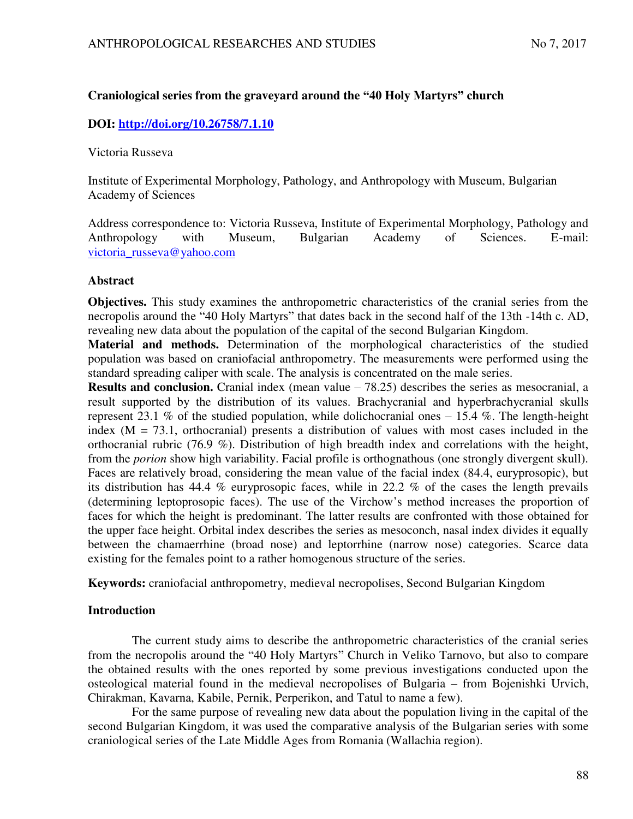## **Craniological series from the graveyard around the "40 Holy Martyrs" church**

## **DOI:<http://doi.org/10.26758/7.1.10>**

Victoria Russeva

Institute of Experimental Morphology, Pathology, and Anthropology with Museum, Bulgarian Academy of Sciences

Address correspondence to: Victoria Russeva, Institute of Experimental Morphology, Pathology and Anthropology with Museum, Bulgarian Academy of Sciences. E-mail: [victoria\\_russeva@yahoo.com](mailto:victoria_russeva@yahoo.com)

## **Abstract**

**Objectives.** This study examines the anthropometric characteristics of the cranial series from the necropolis around the "40 Holy Martyrs" that dates back in the second half of the 13th -14th c. AD, revealing new data about the population of the capital of the second Bulgarian Kingdom.

**Material and methods.** Determination of the morphological characteristics of the studied population was based on craniofacial anthropometry. The measurements were performed using the standard spreading caliper with scale. The analysis is concentrated on the male series.

**Results and conclusion.** Cranial index (mean value – 78.25) describes the series as mesocranial, a result supported by the distribution of its values. Brachycranial and hyperbrachycranial skulls represent 23.1 % of the studied population, while dolichocranial ones  $-15.4$  %. The length-height index  $(M = 73.1$ , orthocranial) presents a distribution of values with most cases included in the orthocranial rubric (76.9 %). Distribution of high breadth index and correlations with the height, from the *porion* show high variability. Facial profile is orthognathous (one strongly divergent skull). Faces are relatively broad, considering the mean value of the facial index (84.4, euryprosopic), but its distribution has 44.4 % euryprosopic faces, while in 22.2 % of the cases the length prevails (determining leptoprosopic faces). The use of the Virchow's method increases the proportion of faces for which the height is predominant. The latter results are confronted with those obtained for the upper face height. Orbital index describes the series as mesoconch, nasal index divides it equally between the chamaerrhine (broad nose) and leptorrhine (narrow nose) categories. Scarce data existing for the females point to a rather homogenous structure of the series.

**Keywords:** craniofacial anthropometry, medieval necropolises, Second Bulgarian Kingdom

## **Introduction**

The current study aims to describe the anthropometric characteristics of the cranial series from the necropolis around the "40 Holy Martyrs" Church in Veliko Tarnovo, but also to compare the obtained results with the ones reported by some previous investigations conducted upon the osteological material found in the medieval necropolises of Bulgaria – from Bojenishki Urvich, Chirakman, Kavarna, Kabile, Pernik, Perperikon, and Tatul to name a few).

For the same purpose of revealing new data about the population living in the capital of the second Bulgarian Kingdom, it was used the comparative analysis of the Bulgarian series with some craniological series of the Late Middle Ages from Romania (Wallachia region).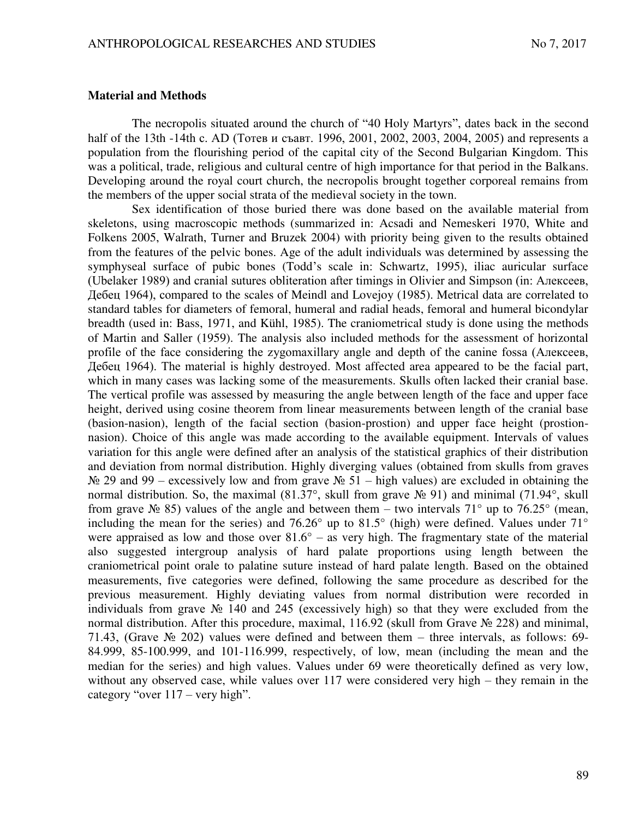#### **Material and Methods**

The necropolis situated around the church of "40 Holy Martyrs", dates back in the second half of the 13th  $-14$ th c. AD (Тотев и съавт. 1996, 2001, 2002, 2003, 2004, 2005) and represents a population from the flourishing period of the capital city of the Second Bulgarian Kingdom. This was a political, trade, religious and cultural centre of high importance for that period in the Balkans. Developing around the royal court church, the necropolis brought together corporeal remains from the members of the upper social strata of the medieval society in the town.

Sex identification of those buried there was done based on the available material from skeletons, using macroscopic methods (summarized in: Acsadi and Nemeskeri 1970, White and Folkens 2005, Walrath, Turner and Bruzek 2004) with priority being given to the results obtained from the features of the pelvic bones. Age of the adult individuals was determined by assessing the symphyseal surface of pubic bones (Todd's scale in: Schwartz, 1995), iliac auricular surface (Ubelaker 1989) and cranial sutures obliteration after timings in Olivier and Simpson (in: Алексеев, Дебец 1964), compared to the scales of Meindl and Lovejoy (1985). Metrical data are correlated to standard tables for diameters of femoral, humeral and radial heads, femoral and humeral bicondylar breadth (used in: Bass, 1971, and Kühl, 1985). The craniometrical study is done using the methods of Martin and Saller (1959). The analysis also included methods for the assessment of horizontal profile of the face considering the zygomaxillary angle and depth of the canine fossa (Алексеев, Дебец 1964). The material is highly destroyed. Most affected area appeared to be the facial part, which in many cases was lacking some of the measurements. Skulls often lacked their cranial base. The vertical profile was assessed by measuring the angle between length of the face and upper face height, derived using cosine theorem from linear measurements between length of the cranial base (basion-nasion), length of the facial section (basion-prostion) and upper face height (prostionnasion). Choice of this angle was made according to the available equipment. Intervals of values variation for this angle were defined after an analysis of the statistical graphics of their distribution and deviation from normal distribution. Highly diverging values (obtained from skulls from graves  $\mathcal{N}_2$  29 and 99 – excessively low and from grave  $\mathcal{N}_2$  51 – high values) are excluded in obtaining the normal distribution. So, the maximal (81.37°, skull from grave № 91) and minimal (71.94°, skull from grave  $\mathcal{N}_2$  85) values of the angle and between them – two intervals 71° up to 76.25° (mean, including the mean for the series) and 76.26° up to 81.5° (high) were defined. Values under 71° were appraised as low and those over  $81.6^\circ$  – as very high. The fragmentary state of the material also suggested intergroup analysis of hard palate proportions using length between the craniometrical point orale to palatine suture instead of hard palate length. Based on the obtained measurements, five categories were defined, following the same procedure as described for the previous measurement. Highly deviating values from normal distribution were recorded in individuals from grave № 140 and 245 (excessively high) so that they were excluded from the normal distribution. After this procedure, maximal, 116.92 (skull from Grave № 228) and minimal, 71.43, (Grave  $\mathbb{N}_2$  202) values were defined and between them – three intervals, as follows: 69-84.999, 85-100.999, and 101-116.999, respectively, of low, mean (including the mean and the median for the series) and high values. Values under 69 were theoretically defined as very low, without any observed case, while values over 117 were considered very high – they remain in the category "over 117 – very high".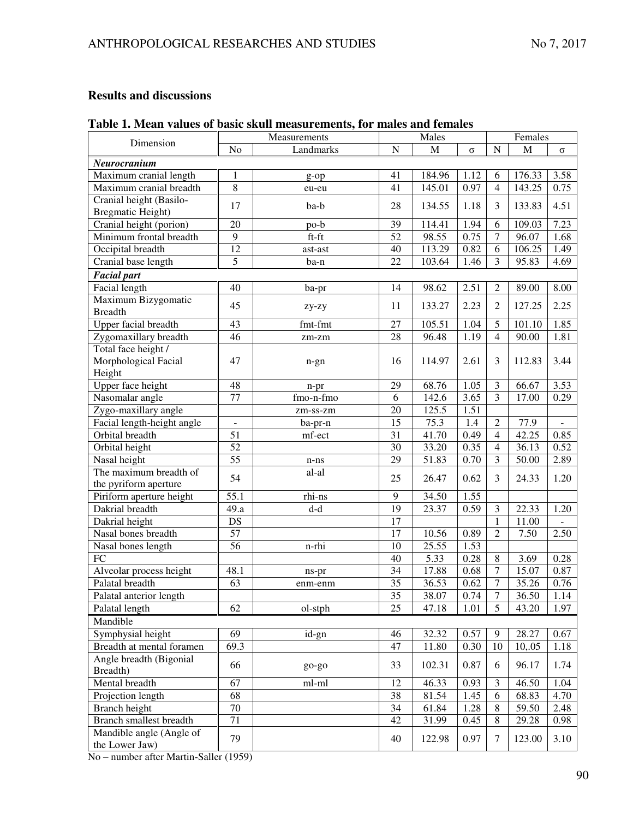# **Results and discussions**

# **Table 1. Mean values of basic skull measurements, for males and females**

| Dimension                   |                 | Measurements |                 | Males  | Females  |                  |        |          |  |
|-----------------------------|-----------------|--------------|-----------------|--------|----------|------------------|--------|----------|--|
|                             | No              | Landmarks    | $\overline{N}$  | M      | $\sigma$ | $\overline{N}$   | M      | $\sigma$ |  |
| Neurocranium                |                 |              |                 |        |          |                  |        |          |  |
| Maximum cranial length      | 1               | $g$ -op      | 41              | 184.96 | 1.12     | 6                | 176.33 | 3.58     |  |
| Maximum cranial breadth     | $\overline{8}$  | eu-eu        | 41              | 145.01 | 0.97     | $\overline{4}$   | 143.25 | 0.75     |  |
| Cranial height (Basilo-     |                 |              |                 |        |          |                  |        |          |  |
| Bregmatic Height)           | 17              | ba-b         | 28              | 134.55 | 1.18     | 3                | 133.83 | 4.51     |  |
| Cranial height (porion)     | 20              | po-b         | 39              | 114.41 | 1.94     | 6                | 109.03 | 7.23     |  |
| Minimum frontal breadth     | 9               | $ft$ - $ft$  | 52              | 98.55  | 0.75     | 7                | 96.07  | 1.68     |  |
| Occipital breadth           | 12              | ast-ast      | 40              | 113.29 | 0.82     | 6                | 106.25 | 1.49     |  |
| Cranial base length         | $\overline{5}$  | ba-n         | 22              | 103.64 | 1.46     | 3                | 95.83  | 4.69     |  |
| <b>Facial part</b>          |                 |              |                 |        |          |                  |        |          |  |
| Facial length               | 40              | ba-pr        | 14              | 98.62  | 2.51     | $\overline{c}$   | 89.00  | 8.00     |  |
| Maximum Bizygomatic         |                 |              |                 |        |          |                  |        |          |  |
| <b>Breadth</b>              | 45              | zy-zy        | 11              | 133.27 | 2.23     | $\overline{2}$   | 127.25 | 2.25     |  |
| <b>Upper facial breadth</b> | 43              | fmt-fmt      | 27              | 105.51 | 1.04     | 5                | 101.10 | 1.85     |  |
| Zygomaxillary breadth       | $\overline{46}$ | zm-zm        | 28              | 96.48  | 1.19     | $\overline{4}$   | 90.00  | 1.81     |  |
| Total face height /         |                 |              |                 |        |          |                  |        |          |  |
| Morphological Facial        | 47              | $n$ -gn      | 16              | 114.97 | 2.61     | 3                | 112.83 | 3.44     |  |
| Height                      |                 |              |                 |        |          |                  |        |          |  |
| Upper face height           | 48              | n-pr         | 29              | 68.76  | 1.05     | 3                | 66.67  | 3.53     |  |
| Nasomalar angle             | $\overline{77}$ | fmo-n-fmo    | 6               | 142.6  | 3.65     | 3                | 17.00  | 0.29     |  |
| Zygo-maxillary angle        |                 | zm-ss-zm     | 20              | 125.5  | 1.51     |                  |        |          |  |
| Facial length-height angle  |                 | ba-pr-n      | 15              | 75.3   | 1.4      | $\overline{2}$   | 77.9   |          |  |
| Orbital breadth             | $\overline{51}$ | mf-ect       | 31              | 41.70  | 0.49     | $\overline{4}$   | 42.25  | 0.85     |  |
| Orbital height              | $\overline{52}$ |              | 30              | 33.20  | 0.35     | $\overline{4}$   | 36.13  | 0.52     |  |
| Nasal height                | $\overline{55}$ | $n-ns$       | 29              | 51.83  | 0.70     | 3                | 50.00  | 2.89     |  |
| The maximum breadth of      | 54              | al-al        |                 |        |          |                  |        |          |  |
| the pyriform aperture       |                 |              | 25              | 26.47  | 0.62     | 3                | 24.33  | 1.20     |  |
| Piriform aperture height    | 55.1            | rhi-ns       | $\overline{9}$  | 34.50  | 1.55     |                  |        |          |  |
| Dakrial breadth             | 49.a            | d-d          | 19              | 23.37  | 0.59     | 3                | 22.33  | 1.20     |  |
| Dakrial height              | DS              |              | 17              |        |          | $\mathbf{1}$     | 11.00  | ÷.       |  |
| Nasal bones breadth         | 57              |              | 17              | 10.56  | 0.89     | $\overline{2}$   | 7.50   | 2.50     |  |
| Nasal bones length          | $\overline{56}$ | n-rhi        | 10              | 25.55  | 1.53     |                  |        |          |  |
| $\overline{FC}$             |                 |              | 40              | 5.33   | 0.28     | 8                | 3.69   | 0.28     |  |
| Alveolar process height     | 48.1            | ns-pr        | 34              | 17.88  | 0.68     | 7                | 15.07  | 0.87     |  |
| Palatal breadth             | $\overline{63}$ | enm-enm      | $\overline{35}$ | 36.53  | 0.62     | $\boldsymbol{7}$ | 35.26  | 0.76     |  |
| Palatal anterior length     |                 |              | $\overline{35}$ | 38.07  | 0.74     | $\overline{7}$   | 36.50  | 1.14     |  |
| Palatal length              | 62              | ol-stph      | 25              | 47.18  | 1.01     | 5                | 43.20  | 1.97     |  |
| Mandible                    |                 |              |                 |        |          |                  |        |          |  |
| Symphysial height           | 69              | id-gn        | 46              | 32.32  | 0.57     | 9                | 28.27  | 0.67     |  |
| Breadth at mental foramen   | 69.3            |              | 47              | 11.80  | 0.30     | 10               | 10,.05 | 1.18     |  |
| Angle breadth (Bigonial     |                 |              |                 |        |          |                  |        |          |  |
| Breadth)                    | 66              | go-go        | 33              | 102.31 | 0.87     | 6                | 96.17  | 1.74     |  |
| Mental breadth              | 67              | ml-ml        | 12              | 46.33  | 0.93     | 3                | 46.50  | 1.04     |  |
| Projection length           | 68              |              | 38              | 81.54  | 1.45     | 6                | 68.83  | 4.70     |  |
| Branch height               | 70              |              | 34              | 61.84  | 1.28     | 8                | 59.50  | 2.48     |  |
| Branch smallest breadth     | $\overline{71}$ |              | 42              | 31.99  | 0.45     | $8\,$            | 29.28  | 0.98     |  |
| Mandible angle (Angle of    |                 |              |                 |        |          |                  |        |          |  |
| the Lower Jaw)              | 79              |              | 40              | 122.98 | 0.97     | $\tau$           | 123.00 | 3.10     |  |
|                             | 1050            |              |                 |        |          |                  |        |          |  |

No – number after Martin-Saller (1959)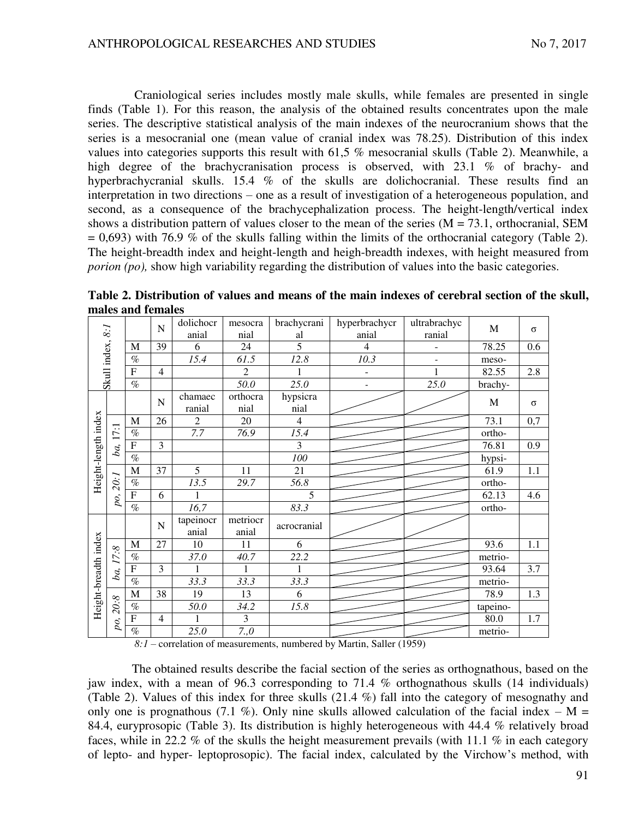Craniological series includes mostly male skulls, while females are presented in single finds (Table 1). For this reason, the analysis of the obtained results concentrates upon the male series. The descriptive statistical analysis of the main indexes of the neurocranium shows that the series is a mesocranial one (mean value of cranial index was 78.25). Distribution of this index values into categories supports this result with 61,5 % mesocranial skulls (Table 2). Meanwhile, a high degree of the brachycranisation process is observed, with 23.1 % of brachy- and hyperbrachycranial skulls. 15.4 % of the skulls are dolichocranial. These results find an interpretation in two directions – one as a result of investigation of a heterogeneous population, and second, as a consequence of the brachycephalization process. The height-length/vertical index shows a distribution pattern of values closer to the mean of the series  $(M = 73.1,$  orthocranial, SEM  $= 0.693$ ) with 76.9 % of the skulls falling within the limits of the orthocranial category (Table 2). The height-breadth index and height-length and heigh-breadth indexes, with height measured from *porion* (po), show high variability regarding the distribution of values into the basic categories.

|                      |          |                              | $\mathbf N$    | dolichocr          | mesocra           | brachycrani        | hyperbrachycr  | ultrabrachyc | $\mathbf M$ | $\sigma$         |
|----------------------|----------|------------------------------|----------------|--------------------|-------------------|--------------------|----------------|--------------|-------------|------------------|
|                      |          |                              |                | anial              | nial              | al                 | anial          | ranial       |             |                  |
|                      |          | M                            | 39             | 6                  | 24                | $\overline{5}$     | $\overline{4}$ | L,           | 78.25       | 0.6              |
| Skull index, 8:1     |          | $\%$                         |                | 15.4               | 61.5              | 12.8               | 10.3           | -            | meso-       |                  |
|                      |          | $\boldsymbol{\mathrm{F}}$    | $\overline{4}$ |                    | $\overline{2}$    | 1                  | $\overline{a}$ | $\mathbf{1}$ | 82.55       | 2.8              |
|                      |          | $\%$                         |                |                    | 50.0              | 25.0               |                | 25.0         | brachy-     |                  |
|                      |          |                              | $\mathbf N$    | chamaec<br>ranial  | orthocra<br>nial  | hypsicra<br>nial   |                |              | $\mathbf M$ | $\sigma$         |
|                      |          | $\mathbf M$                  | 26             | $\overline{2}$     | 20                | $\overline{4}$     |                |              | 73.1        | 0,7              |
| Height-length index  | ba, 17:1 | $\%$                         |                | 7.7                | 76.9              | 15.4               |                |              | ortho-      |                  |
|                      |          | $\overline{\mathrm{F}}$      | $\overline{3}$ |                    |                   | $\overline{3}$     |                |              | 76.81       | $\overline{0.9}$ |
|                      |          | $\overline{\%}$              |                |                    |                   | 100                |                |              | hypsi-      |                  |
|                      |          | $\mathbf M$                  | 37             | $\overline{5}$     | 11                | 21                 |                |              | 61.9        | 1.1              |
|                      | 20:1     | $\%$                         |                | 13.5               | 29.7              | 56.8               |                |              | ortho-      |                  |
|                      | po,      | $\overline{\mathrm{F}}$      | 6              | 1                  |                   | 5                  |                |              | 62.13       | 4.6              |
|                      |          | $\overline{\mathcal{O}_{0}}$ |                | 16,7               |                   | 83.3               |                |              | ortho-      |                  |
|                      |          |                              | $\mathbf N$    | tapeinocr<br>anial | metriocr<br>anial | acrocranial        |                |              |             |                  |
|                      |          | $\mathbf M$                  | 27             | 10                 | 11                | 6                  |                |              | 93.6        | 1.1              |
|                      | ba, 17:8 | $\%$                         |                | 37.0               | 40.7              | $\overline{2}$ 2.2 |                |              | metrio-     |                  |
|                      |          | $\overline{F}$               | $\overline{3}$ | $\mathbf{1}$       | $\mathbf{1}$      | 1                  |                |              | 93.64       | 3.7              |
|                      |          | $\overline{\%}$              |                | 33.3               | 33.3              | 33.3               |                |              | metrio-     |                  |
|                      |          | $\mathbf M$                  | 38             | 19                 | 13                | 6                  |                |              | 78.9        | 1.3              |
| Height-breadth index | 20.8     | $\%$                         |                | 50.0               | 34.2              | 15.8               |                |              | tapeino-    |                  |
|                      | po,      | ${\bf F}$                    | $\overline{4}$ | 1                  | 3                 |                    |                |              | 80.0        | 1.7              |
|                      |          | $\overline{\%}$              |                | 25.0               | 7,0               |                    |                |              | metrio-     |                  |

**Table 2. Distribution of values and means of the main indexes of cerebral section of the skull, males and females** 

*8:1 –* correlation of measurements, numbered by Martin, Saller (1959)

The obtained results describe the facial section of the series as orthognathous, based on the jaw index, with a mean of 96.3 corresponding to 71.4 % orthognathous skulls (14 individuals) (Table 2). Values of this index for three skulls (21.4 %) fall into the category of mesognathy and only one is prognathous (7.1 %). Only nine skulls allowed calculation of the facial index –  $M =$ 84.4, euryprosopic (Table 3). Its distribution is highly heterogeneous with 44.4 % relatively broad faces, while in 22.2 % of the skulls the height measurement prevails (with 11.1 % in each category of lepto- and hyper- leptoprosopic). The facial index, calculated by the Virchow's method, with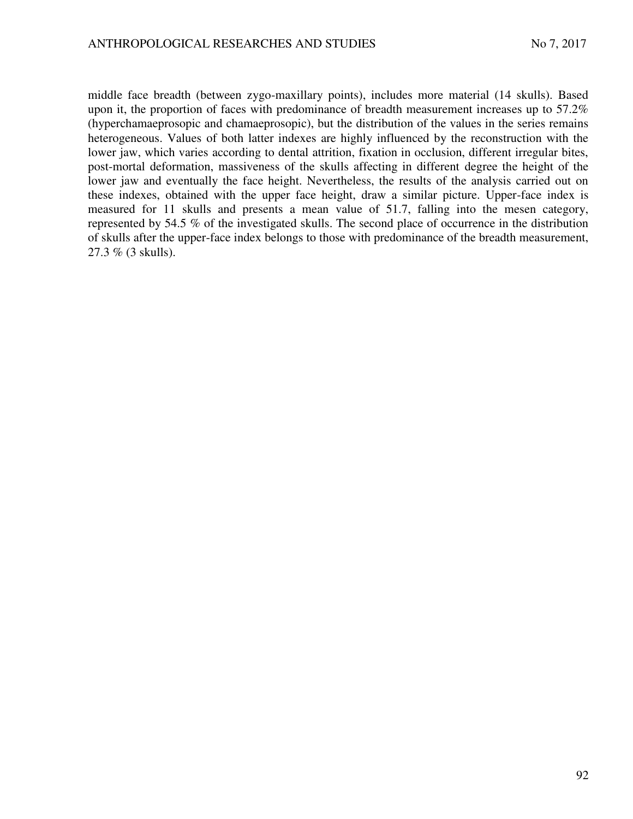middle face breadth (between zygo-maxillary points), includes more material (14 skulls). Based upon it, the proportion of faces with predominance of breadth measurement increases up to 57.2% (hyperchamaeprosopic and chamaeprosopic), but the distribution of the values in the series remains heterogeneous. Values of both latter indexes are highly influenced by the reconstruction with the lower jaw, which varies according to dental attrition, fixation in occlusion, different irregular bites, post-mortal deformation, massiveness of the skulls affecting in different degree the height of the lower jaw and eventually the face height. Nevertheless, the results of the analysis carried out on these indexes, obtained with the upper face height, draw a similar picture. Upper-face index is measured for 11 skulls and presents a mean value of 51.7, falling into the mesen category, represented by 54.5 % of the investigated skulls. The second place of occurrence in the distribution of skulls after the upper-face index belongs to those with predominance of the breadth measurement, 27.3 % (3 skulls).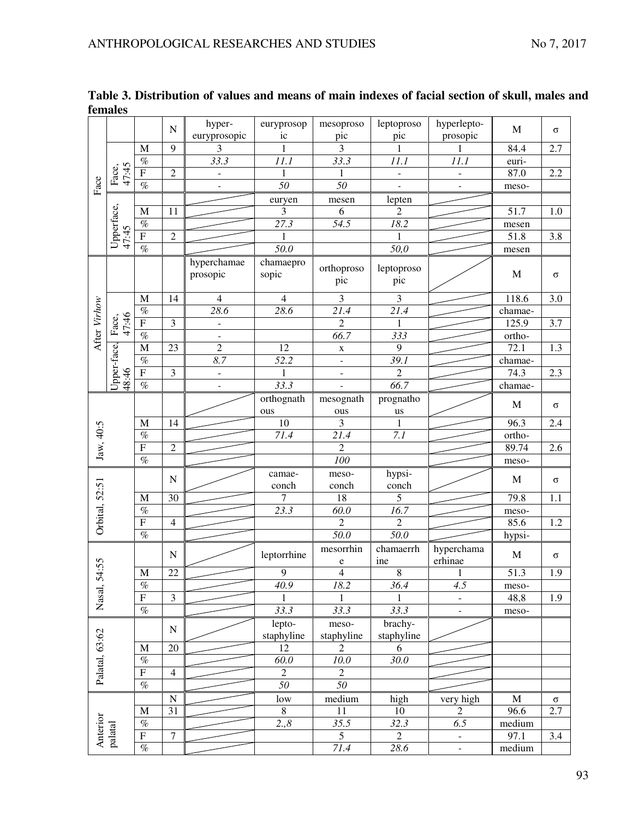|                | remarco             |                                  |                 |                        |                   |                    |                   |                          |             |          |
|----------------|---------------------|----------------------------------|-----------------|------------------------|-------------------|--------------------|-------------------|--------------------------|-------------|----------|
|                |                     |                                  | ${\bf N}$       | hyper-<br>euryprosopic | euryprosop<br>ic  | mesoproso<br>pic   | leptoproso<br>pic | hyperlepto-<br>prosopic  | M           | $\sigma$ |
|                |                     | M                                | $\overline{9}$  | 3                      | 1                 | $\overline{3}$     | 1                 | 1                        | 84.4        | 2.7      |
|                |                     | $\%$                             |                 | 33.3                   | 11.1              | 33.3               | 11.1              | $11.1\,$                 | euri-       |          |
|                | 47:45<br>Face,      | ${\bf F}$                        | $\overline{2}$  |                        | $\mathbf{1}$      | 1                  |                   | $\overline{\phantom{m}}$ | 87.0        | 2.2      |
| Face           |                     | $\overline{\%}$                  |                 |                        | $\overline{50}$   | $\overline{50}$    |                   |                          | meso-       |          |
|                |                     |                                  |                 |                        | euryen            | mesen              | lepten            |                          |             |          |
|                |                     | M                                | 11              |                        | 3                 | 6                  | $\overline{2}$    |                          | 51.7        | 1.0      |
|                | Upperface,<br>47:45 | $\%$                             |                 |                        | 27.3              | $\overline{54.5}$  | $\overline{18.2}$ |                          | mesen       |          |
|                |                     | ${\bf F}$                        | $\overline{2}$  |                        |                   |                    |                   |                          | 51.8        | 3.8      |
|                |                     | $\%$                             |                 |                        | $\overline{50.0}$ |                    | 50,0              |                          | mesen       |          |
|                |                     |                                  |                 | hyperchamae            | chamaepro         |                    |                   |                          |             |          |
|                |                     |                                  |                 | prosopic               | sopic             | orthoproso<br>pic  | leptoproso<br>pic |                          | $\mathbf M$ | $\sigma$ |
|                |                     | M                                | 14              | $\overline{4}$         | $\overline{4}$    | 3                  | 3                 |                          | 118.6       | 3.0      |
| After Virhow   |                     | $\%$                             |                 | 28.6                   | 28.6              | 21.4               | $\overline{21.4}$ |                          | chamae-     |          |
|                | 47:46<br>Face,      | $\mathbf F$                      | 3               | $\frac{1}{2}$          |                   | $\overline{2}$     |                   |                          | 125.9       | 3.7      |
|                |                     | $\%$                             |                 | $\overline{a}$         |                   | 66.7               | 333               |                          | ortho-      |          |
|                |                     | M                                | 23              | $\overline{2}$         | 12                | $\mathbf X$        | 9                 |                          | 72.1        | 1.3      |
|                | Upper-face,         | $\%$                             |                 | 8.7                    | 52.2              | $\Box$             | $\overline{39.1}$ |                          | chamae-     |          |
|                |                     | $\overline{F}$                   | 3               | $\Box$                 | 1                 | $\Box$             | $\overline{2}$    |                          | 74.3        | 2.3      |
|                | 48:46               | $\%$                             |                 | $\blacksquare$         | 33.3              |                    | 66.7              |                          | chamae-     |          |
|                |                     |                                  |                 |                        | orthognath        | mesognath          | prognatho         |                          | $\mathbf M$ | $\sigma$ |
|                |                     |                                  |                 |                        | ous               | ous                | $\;{\rm us}\;$    |                          |             |          |
|                |                     | M                                | 14              |                        | $10\,$            | 3                  | 1                 |                          | 96.3        | 2.4      |
|                |                     | $\%$                             |                 |                        | 71.4              | 21.4               | $\overline{7.1}$  |                          | ortho-      |          |
| Jaw, 40:5      |                     | $\overline{F}$                   | $\overline{c}$  |                        |                   | $\overline{2}$     |                   |                          | 89.74       | 2.6      |
|                |                     | $\%$                             |                 |                        |                   | 100                |                   |                          | meso-       |          |
|                |                     |                                  | ${\bf N}$       |                        | camae-            | meso-              | hypsi-            |                          | M           |          |
|                |                     |                                  |                 |                        | conch             | conch              | conch             |                          |             | $\sigma$ |
| Orbital, 52:51 |                     | M                                | $\overline{30}$ |                        | 7                 | $\overline{18}$    | 5                 |                          | 79.8        | 1.1      |
|                |                     | $\overline{\mathcal{O}_{\!\!O}}$ |                 |                        | 23.3              | $\overline{60}$ .0 | 16.7              |                          | meso-       |          |
|                |                     | $\overline{F}$                   | $\overline{4}$  |                        |                   | $\overline{c}$     | $\overline{c}$    |                          | 85.6        | 1.2      |
|                |                     | $\%$                             |                 |                        |                   | 50.0               | 50.0              |                          | hypsi-      |          |
|                |                     |                                  |                 |                        |                   | mesorrhin          | chamaerrh         | hyperchama               |             |          |
|                |                     |                                  | $\mathbf N$     |                        | leptorrhine       | $\mathbf e$        | ine               | erhinae                  | M           | $\sigma$ |
| Nasal, 54:55   |                     | M                                | 22              |                        | $\overline{9}$    | $\overline{4}$     | $\,8\,$           |                          | 51.3        | 1.9      |
|                |                     | $\%$                             |                 |                        | 40.9              | 18.2               | 36.4              | 4.5                      | meso-       |          |
|                |                     | $\overline{F}$                   | $\mathfrak{Z}$  |                        | 1                 |                    |                   | $\overline{\phantom{a}}$ | 48,8        | 1.9      |
|                |                     | $\overline{\mathcal{O}_{\!\!O}}$ |                 |                        | 33.3              | 33.3               | 33.3              | $\blacksquare$           | meso-       |          |
|                |                     |                                  |                 |                        | lepto-            | meso-              | brachy-           |                          |             |          |
|                |                     |                                  | ${\bf N}$       |                        | staphyline        | staphyline         | staphyline        |                          |             |          |
|                |                     | M                                | $20\,$          |                        | 12                | 2                  | 6                 |                          |             |          |
|                |                     | $\%$                             |                 |                        | 60.0              | $10.0\,$           | 30.0              |                          |             |          |
| Palatal, 63:62 |                     | $\overline{F}$                   | $\overline{4}$  |                        | $\sqrt{2}$        | $\overline{2}$     |                   |                          |             |          |
|                |                     | $\overline{\mathcal{O}_{\!\!O}}$ |                 |                        | $\overline{50}$   | $\overline{50}$    |                   |                          |             |          |
|                |                     |                                  | ${\bf N}$       |                        | low               | medium             | high              | very high                | $\mathbf M$ | $\sigma$ |
|                |                     | M                                | 31              |                        | 8                 | 11                 | 10                | 2                        | 96.6        | 2.7      |
| Anterior       |                     | $\overline{\mathcal{O}_{\!\!O}}$ |                 |                        | 2.,8              | 35.5               | 32.3              | 6.5                      | medium      |          |
|                | $_{\rm palatal}$    | ${\bf F}$                        | $\tau$          |                        |                   | 5 <sup>5</sup>     | $\overline{2}$    | $\bar{\phantom{a}}$      | 97.1        | 3.4      |
|                |                     | $\overline{\mathcal{O}_{\!\!O}}$ |                 |                        |                   | $\overline{71.4}$  | 28.6              | $\overline{\phantom{a}}$ | medium      |          |
|                |                     |                                  |                 |                        |                   |                    |                   |                          |             |          |

**Table 3. Distribution of values and means of main indexes of facial section of skull, males and females**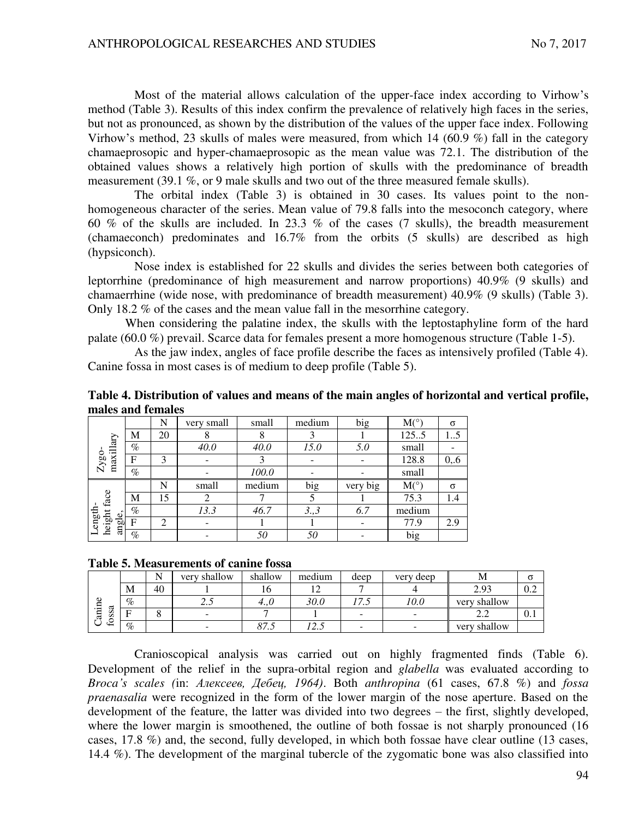Most of the material allows calculation of the upper-face index according to Virhow's method (Table 3). Results of this index confirm the prevalence of relatively high faces in the series, but not as pronounced, as shown by the distribution of the values of the upper face index. Following Virhow's method, 23 skulls of males were measured, from which 14 (60.9 %) fall in the category chamaeprosopic and hyper-chamaeprosopic as the mean value was 72.1. The distribution of the obtained values shows a relatively high portion of skulls with the predominance of breadth measurement (39.1 %, or 9 male skulls and two out of the three measured female skulls).

The orbital index (Table 3) is obtained in 30 cases. Its values point to the nonhomogeneous character of the series. Mean value of 79.8 falls into the mesoconch category, where 60 % of the skulls are included. In 23.3 % of the cases (7 skulls), the breadth measurement (chamaeconch) predominates and 16.7% from the orbits (5 skulls) are described as high (hypsiconch).

Nose index is established for 22 skulls and divides the series between both categories of leptorrhine (predominance of high measurement and narrow proportions) 40.9% (9 skulls) and chamaerrhine (wide nose, with predominance of breadth measurement) 40.9% (9 skulls) (Table 3). Only 18.2 % of the cases and the mean value fall in the mesorrhine category.

When considering the palatine index, the skulls with the leptostaphyline form of the hard palate (60.0 %) prevail. Scarce data for females present a more homogenous structure (Table 1-5).

As the jaw index, angles of face profile describe the faces as intensively profiled (Table 4). Canine fossa in most cases is of medium to deep profile (Table 5).

| marcs and remarcs              |              |                |            |        |        |          |             |          |
|--------------------------------|--------------|----------------|------------|--------|--------|----------|-------------|----------|
|                                |              | N              | very small | small  | medium | big      | $M(^\circ)$ | $\sigma$ |
|                                | М            | 20             |            | 8      |        |          | 1255        | 15       |
| maxillary                      | $\%$         |                | 40.0       | 40.0   | 15.0   | 5.0      | small       |          |
| $Zy$ go                        | $\mathbf F$  | 3              |            |        |        |          | 128.8       | 0, 6     |
|                                | $\%$         |                |            | 100.0  |        |          | small       |          |
|                                |              | N              | small      | medium | big    | very big | M(°)        | $\sigma$ |
|                                | M            | 15             |            |        |        |          | 75.3        | 1.4      |
|                                | $\%$         |                | 13.3       | 46.7   | 3,3    | 6.7      | medium      |          |
| height face<br>ength<br>angle, | $\mathbf{F}$ | $\mathfrak{D}$ |            |        |        |          | 77.9        | 2.9      |
|                                | $\%$         |                |            | 50     | 50     |          | big         |          |

**Table 4. Distribution of values and means of the main angles of horizontal and vertical profile, males and females**

### **Table 5. Measurements of canine fossa**

|                                                 |      |    | shallow<br>verv          | shallow | medium | deep                            | very<br>deep             | ΙVΙ          |         |
|-------------------------------------------------|------|----|--------------------------|---------|--------|---------------------------------|--------------------------|--------------|---------|
|                                                 | M    | 40 |                          | 10      |        | −                               |                          | 2.93         | $v.\n4$ |
| O)<br>.⊟<br>ದ<br>s<br>$\epsilon$<br>ನ<br>S<br>∽ | $\%$ |    | ر . ب                    | 4.1     | 30.0   | $\overline{\phantom{0}}$<br>ن ر | 10.0                     | very shallow |         |
|                                                 | Е    |    | -                        |         |        | $\sim$                          | $\overline{\phantom{a}}$ |              | v. i    |
| ີ⊢                                              | $\%$ |    | $\overline{\phantom{0}}$ | ດ~      |        | $\overline{\phantom{a}}$        | $\overline{\phantom{a}}$ | very shallow |         |

Cranioscopical analysis was carried out on highly fragmented finds (Table 6). Development of the relief in the supra-orbital region and *glabella* was evaluated according to *Broca's scales (*in: *Ⱥɥɟɤɫɟɟɜ, Дɟɛɟɰ, 1964)*. Both *anthropina* (61 cases, 67.8 %) and *fossa praenasalia* were recognized in the form of the lower margin of the nose aperture. Based on the development of the feature, the latter was divided into two degrees – the first, slightly developed, where the lower margin is smoothened, the outline of both fossae is not sharply pronounced (16) cases, 17.8 %) and, the second, fully developed, in which both fossae have clear outline (13 cases, 14.4 %). The development of the marginal tubercle of the zygomatic bone was also classified into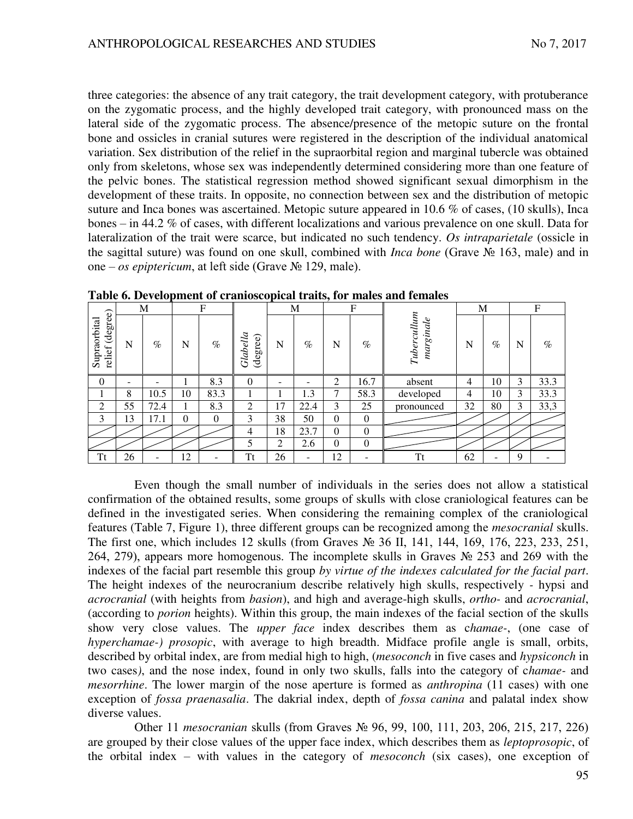three categories: the absence of any trait category, the trait development category, with protuberance on the zygomatic process, and the highly developed trait category, with pronounced mass on the lateral side of the zygomatic process. The absence/presence of the metopic suture on the frontal bone and ossicles in cranial sutures were registered in the description of the individual anatomical variation. Sex distribution of the relief in the supraorbital region and marginal tubercle was obtained only from skeletons, whose sex was independently determined considering more than one feature of the pelvic bones. The statistical regression method showed significant sexual dimorphism in the development of these traits. In opposite, no connection between sex and the distribution of metopic suture and Inca bones was ascertained. Metopic suture appeared in 10.6 % of cases, (10 skulls), Inca bones – in 44.2 % of cases, with different localizations and various prevalence on one skull. Data for lateralization of the trait were scarce, but indicated no such tendency. *Os intraparietale* (ossicle in the sagittal suture) was found on one skull, combined with *Inca bone* (Grave № 163, male) and in one – *os epiptericum*, at left side (Grave № 129, male).

|                                    |    | M    |          | F    |                      |    | M                            |                | $\mathbf F$ |                         |    | M    |   | F    |
|------------------------------------|----|------|----------|------|----------------------|----|------------------------------|----------------|-------------|-------------------------|----|------|---|------|
| (degree)<br>Supraorbital<br>relief | N  | $\%$ | N        | $\%$ | Glabella<br>(degree) | N  | $\%$                         | N              | $\%$        | Tuberculum<br>marginale | N  | $\%$ | N | $\%$ |
| $\overline{0}$                     | -  |      |          | 8.3  | $\Omega$             | -  | $\qquad \qquad \blacksquare$ | $\overline{2}$ | 16.7        | absent                  | 4  | 10   | 3 | 33.3 |
|                                    | 8  | 10.5 | 10       | 83.3 |                      |    | 1.3                          | ⇁              | 58.3        | developed               | 4  | 10   | 3 | 33.3 |
| 2                                  | 55 | 72.4 |          | 8.3  | 2                    | 17 | 22.4                         | 3              | 25          | pronounced              | 32 | 80   | 3 | 33,3 |
| 3                                  | 13 | 17.1 | $\Omega$ | 0    | 3                    | 38 | 50                           | $\Omega$       | $\Omega$    |                         |    |      |   |      |
|                                    |    |      |          |      | 4                    | 18 | 23.7                         | $\Omega$       | $\theta$    |                         |    |      |   |      |
|                                    |    |      |          |      | 5                    | 2  | 2.6                          | $\theta$       | $\theta$    |                         |    |      |   |      |
| <b>Tt</b>                          | 26 |      | 12       |      | Tt                   | 26 | $\qquad \qquad \blacksquare$ | 12             |             | Tt                      | 62 | ۰    | 9 |      |

**Table 6. Development of cranioscopical traits, for males and females** 

Even though the small number of individuals in the series does not allow a statistical confirmation of the obtained results, some groups of skulls with close craniological features can be defined in the investigated series. When considering the remaining complex of the craniological features (Table 7, Figure 1), three different groups can be recognized among the *mesocranial* skulls. The first one, which includes 12 skulls (from Graves № 36 II, 141, 144, 169, 176, 223, 233, 251, 264, 279), appears more homogenous. The incomplete skulls in Graves № 253 and 269 with the indexes of the facial part resemble this group *by virtue of the indexes calculated for the facial part*. The height indexes of the neurocranium describe relatively high skulls, respectively *-* hypsi and *acrocranial* (with heights from *basion*), and high and average-high skulls, *ortho-* and *acrocranial*, (according to *porion* heights). Within this group, the main indexes of the facial section of the skulls show very close values. The *upper face* index describes them as c*hamae-*, (one case of *hyperchamae-) prosopic*, with average to high breadth. Midface profile angle is small, orbits, described by orbital index, are from medial high to high, (*mesoconch* in five cases and *hypsiconch* in two cases*)*, and the nose index, found in only two skulls, falls into the category of c*hamae-* and *mesorrhine*. The lower margin of the nose aperture is formed as *anthropina* (11 cases) with one exception of *fossa praenasalia*. The dakrial index, depth of *fossa canina* and palatal index show diverse values.

Other 11 *mesocranian* skulls (from Graves № 96, 99, 100, 111, 203, 206, 215, 217, 226) are grouped by their close values of the upper face index, which describes them as *leptoprosopic*, of the orbital index – with values in the category of *mesoconch* (six cases), one exception of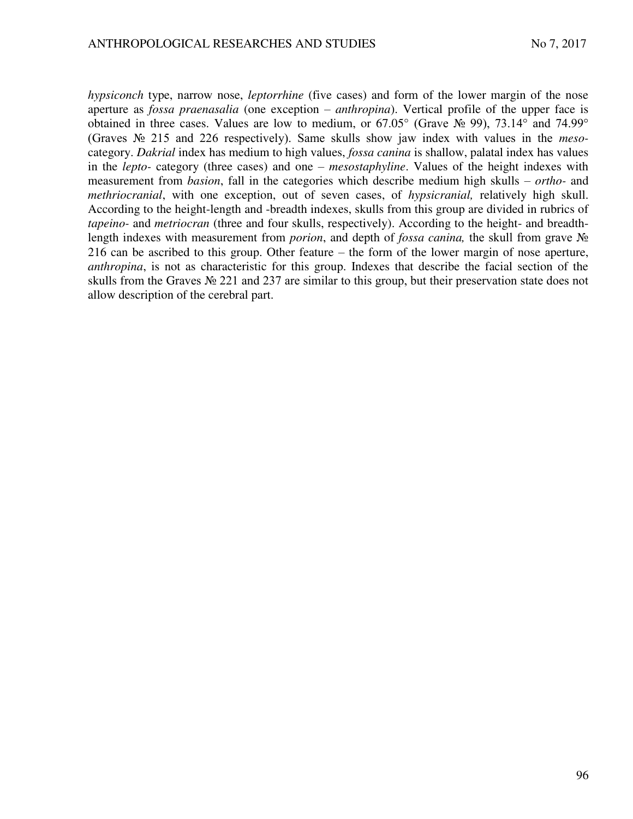*hypsiconch* type, narrow nose, *leptorrhine* (five cases) and form of the lower margin of the nose aperture as *fossa praenasalia* (one exception – *anthropina*). Vertical profile of the upper face is obtained in three cases. Values are low to medium, or  $67.05^{\circ}$  (Grave  $\mathcal{N}_{2}$  99),  $73.14^{\circ}$  and  $74.99^{\circ}$ (Graves № 215 and 226 respectively). Same skulls show jaw index with values in the *meso*category. *Dakrial* index has medium to high values, *fossa canina* is shallow, palatal index has values in the *lepto-* category (three cases) and one – *mesostaphyline*. Values of the height indexes with measurement from *basion*, fall in the categories which describe medium high skulls – *ortho-* and *methriocranial*, with one exception, out of seven cases, of *hypsicranial,* relatively high skull. According to the height-length and -breadth indexes, skulls from this group are divided in rubrics of *tapeino-* and *metriocran* (three and four skulls, respectively). According to the height- and breadthlength indexes with measurement from *porion*, and depth of *fossa canina,* the skull from grave № 216 can be ascribed to this group. Other feature – the form of the lower margin of nose aperture, *anthropina*, is not as characteristic for this group. Indexes that describe the facial section of the skulls from the Graves № 221 and 237 are similar to this group, but their preservation state does not allow description of the cerebral part.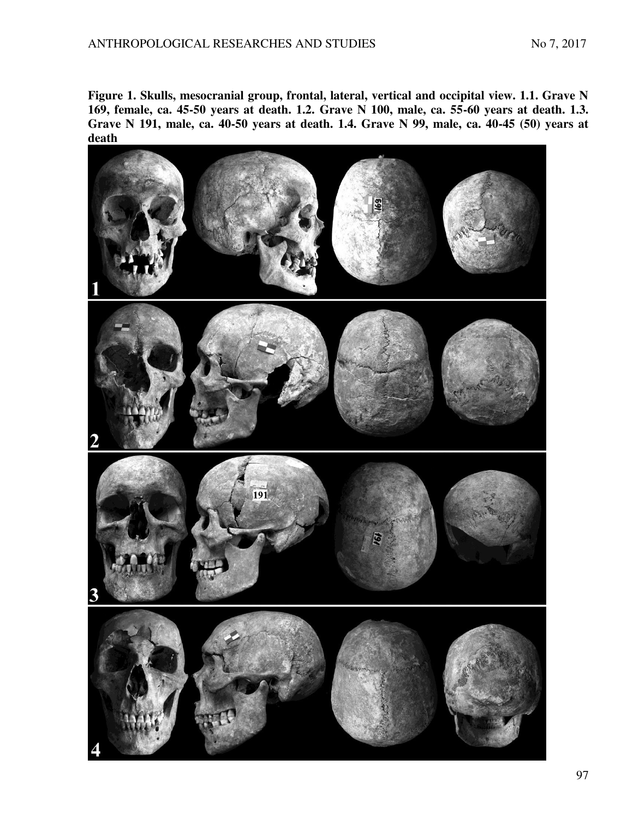**Figure 1. Skulls, mesocranial group, frontal, lateral, vertical and occipital view. 1.1. Grave N 169, female, ca. 45-50 years at death. 1.2. Grave N 100, male, ca. 55-60 years at death. 1.3. Grave N 191, male, ca. 40-50 years at death. 1.4. Grave N 99, male, ca. 40-45 (50) years at death**

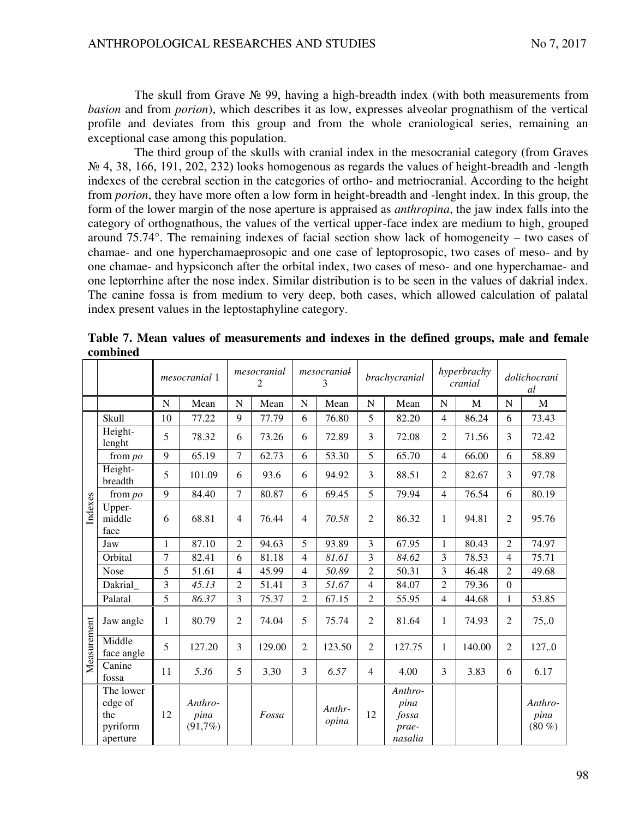The skull from Grave  $\mathcal{N}_2$  99, having a high-breadth index (with both measurements from *basion* and from *porion*), which describes it as low, expresses alveolar prognathism of the vertical profile and deviates from this group and from the whole craniological series, remaining an exceptional case among this population.

The third group of the skulls with cranial index in the mesocranial category (from Graves № 4, 38, 166, 191, 202, 232) looks homogenous as regards the values of height-breadth and -length indexes of the cerebral section in the categories of ortho- and metriocranial. According to the height from *porion*, they have more often a low form in height-breadth and -lenght index. In this group, the form of the lower margin of the nose aperture is appraised as *anthropina*, the jaw index falls into the category of orthognathous, the values of the vertical upper-face index are medium to high, grouped around 75.74°. The remaining indexes of facial section show lack of homogeneity – two cases of chamae- and one hyperchamaeprosopic and one case of leptoprosopic, two cases of meso- and by one chamae- and hypsiconch after the orbital index, two cases of meso- and one hyperchamae- and one leptorrhine after the nose index. Similar distribution is to be seen in the values of dakrial index. The canine fossa is from medium to very deep, both cases, which allowed calculation of palatal index present values in the leptostaphyline category.

|             |                                                     |    | mesocranial 1                 |                | mesocranial<br>2 |                | mesocranial<br>3 |                | brachycranial                                |                | hyperbrachy<br>cranial |                | dolichocrani<br>al          |
|-------------|-----------------------------------------------------|----|-------------------------------|----------------|------------------|----------------|------------------|----------------|----------------------------------------------|----------------|------------------------|----------------|-----------------------------|
|             |                                                     | N  | Mean                          | N              | Mean             | N              | Mean             | $\mathbf N$    | Mean                                         | N              | M                      | N              | $\mathbf{M}$                |
|             | Skull                                               | 10 | 77.22                         | 9              | 77.79            | 6              | 76.80            | 5              | 82.20                                        | $\overline{4}$ | 86.24                  | 6              | 73.43                       |
|             | Height-<br>lenght                                   | 5  | 78.32                         | 6              | 73.26            | 6              | 72.89            | 3              | 72.08                                        | $\overline{2}$ | 71.56                  | 3              | 72.42                       |
|             | from $po$                                           | 9  | 65.19                         | $\tau$         | 62.73            | 6              | 53.30            | 5              | 65.70                                        | $\overline{4}$ | 66.00                  | 6              | 58.89                       |
|             | Height-<br>breadth                                  | 5  | 101.09                        | 6              | 93.6             | 6              | 94.92            | 3              | 88.51                                        | $\overline{2}$ | 82.67                  | 3              | 97.78                       |
|             | from po                                             | 9  | 84.40                         | $\overline{7}$ | 80.87            | 6              | 69.45            | 5              | 79.94                                        | $\overline{4}$ | 76.54                  | 6              | 80.19                       |
| Indexes     | Upper-<br>middle<br>face                            | 6  | 68.81                         | $\overline{4}$ | 76.44            | $\overline{4}$ | 70.58            | $\overline{2}$ | 86.32                                        | 1              | 94.81                  | $\overline{2}$ | 95.76                       |
|             | Jaw                                                 | 1  | 87.10                         | $\overline{2}$ | 94.63            | 5              | 93.89            | 3              | 67.95                                        | $\mathbf 1$    | 80.43                  | $\overline{2}$ | 74.97                       |
|             | Orbital                                             | 7  | 82.41                         | 6              | 81.18            | $\overline{4}$ | 81.61            | 3              | 84.62                                        | 3              | 78.53                  | $\overline{4}$ | 75.71                       |
|             | Nose                                                | 5  | 51.61                         | $\overline{4}$ | 45.99            | $\overline{4}$ | 50.89            | $\overline{2}$ | 50.31                                        | $\overline{3}$ | 46.48                  | $\overline{2}$ | 49.68                       |
|             | Dakrial                                             | 3  | 45.13                         | $\overline{2}$ | 51.41            | 3              | 51.67            | $\overline{4}$ | 84.07                                        | $\overline{2}$ | 79.36                  | $\overline{0}$ |                             |
|             | Palatal                                             | 5  | 86.37                         | 3              | 75.37            | $\overline{2}$ | 67.15            | $\overline{2}$ | 55.95                                        | $\overline{4}$ | 44.68                  | $\mathbf{1}$   | 53.85                       |
|             | Jaw angle                                           | 1  | 80.79                         | $\overline{2}$ | 74.04            | 5              | 75.74            | $\overline{2}$ | 81.64                                        | 1              | 74.93                  | $\overline{2}$ | 75,0                        |
| Measurement | Middle<br>face angle                                | 5  | 127.20                        | 3              | 129.00           | $\overline{2}$ | 123.50           | $\overline{2}$ | 127.75                                       | 1              | 140.00                 | $\overline{2}$ | 127,.0                      |
|             | Canine<br>fossa                                     | 11 | 5.36                          | 5              | 3.30             | 3              | 6.57             | $\overline{4}$ | 4.00                                         | 3              | 3.83                   | 6              | 6.17                        |
|             | The lower<br>edge of<br>the<br>pyriform<br>aperture | 12 | Anthro-<br>pina<br>$(91,7\%)$ |                | Fossa            |                | Anthr-<br>opina  | 12             | Anthro-<br>pina<br>fossa<br>prae-<br>nasalia |                |                        |                | Anthro-<br>pina<br>$(80\%)$ |

**Table 7. Mean values of measurements and indexes in the defined groups, male and female combined**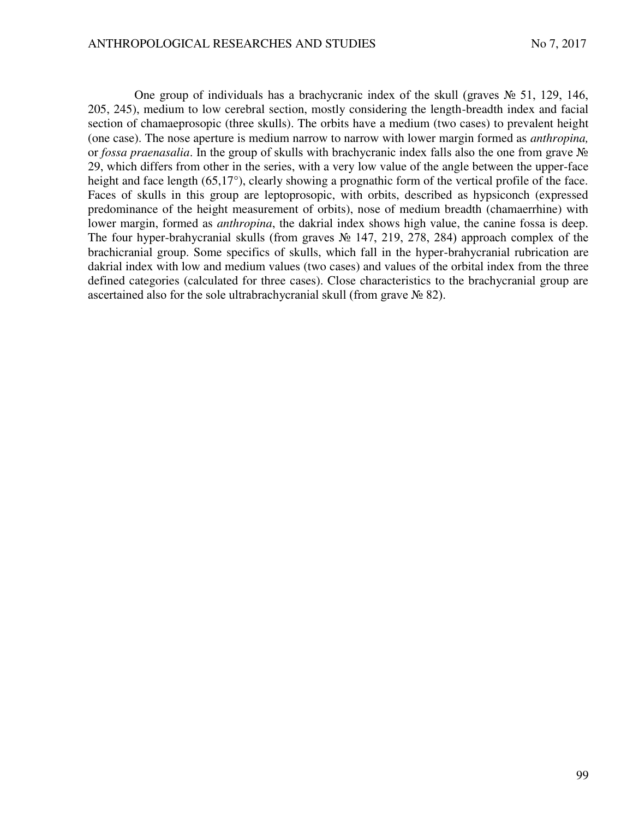One group of individuals has a brachycranic index of the skull (graves  $\mathcal{N}_2$  51, 129, 146, 205, 245), medium to low cerebral section, mostly considering the length-breadth index and facial section of chamaeprosopic (three skulls). The orbits have a medium (two cases) to prevalent height (one case). The nose aperture is medium narrow to narrow with lower margin formed as *anthropina,* or *fossa praenasalia*. In the group of skulls with brachycranic index falls also the one from grave № 29, which differs from other in the series, with a very low value of the angle between the upper-face height and face length (65,17°), clearly showing a prognathic form of the vertical profile of the face. Faces of skulls in this group are leptoprosopic, with orbits, described as hypsiconch (expressed predominance of the height measurement of orbits), nose of medium breadth (chamaerrhine) with lower margin, formed as *anthropina*, the dakrial index shows high value, the canine fossa is deep. The four hyper-brahycranial skulls (from graves № 147, 219, 278, 284) approach complex of the brachicranial group. Some specifics of skulls, which fall in the hyper-brahycranial rubrication are dakrial index with low and medium values (two cases) and values of the orbital index from the three defined categories (calculated for three cases). Close characteristics to the brachycranial group are ascertained also for the sole ultrabrachycranial skull (from grave № 82).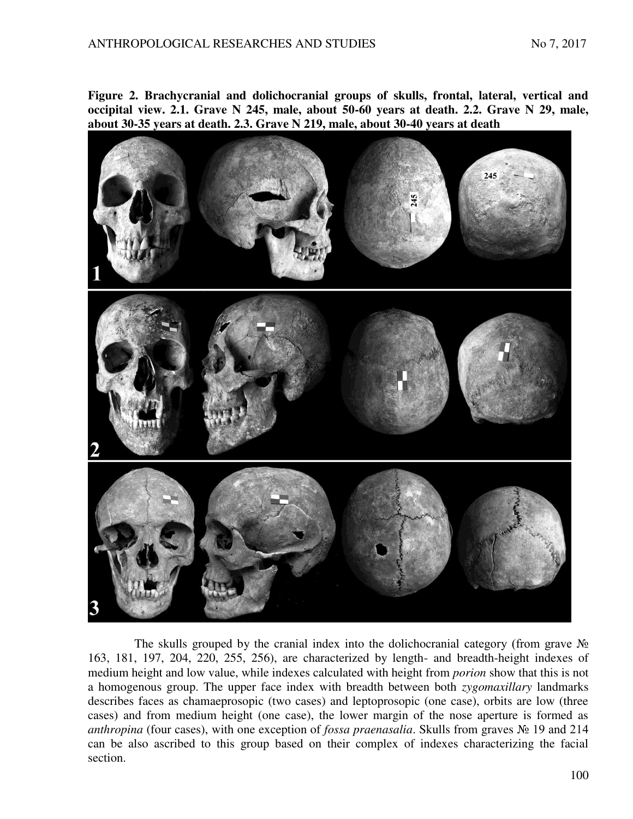**Figure 2. Brachycranial and dolichocranial groups of skulls, frontal, lateral, vertical and occipital view. 2.1. Grave N 245, male, about 50-60 years at death. 2.2. Grave N 29, male, about 30-35 years at death. 2.3. Grave N 219, male, about 30-40 years at death**



The skulls grouped by the cranial index into the dolichocranial category (from grave  $\mathcal{N}_2$ 163, 181, 197, 204, 220, 255, 256), are characterized by length- and breadth-height indexes of medium height and low value, while indexes calculated with height from *porion* show that this is not a homogenous group. The upper face index with breadth between both *zygomaxillary* landmarks describes faces as chamaeprosopic (two cases) and leptoprosopic (one case), orbits are low (three cases) and from medium height (one case), the lower margin of the nose aperture is formed as *anthropina* (four cases), with one exception of *fossa praenasalia*. Skulls from graves № 19 and 214 can be also ascribed to this group based on their complex of indexes characterizing the facial section.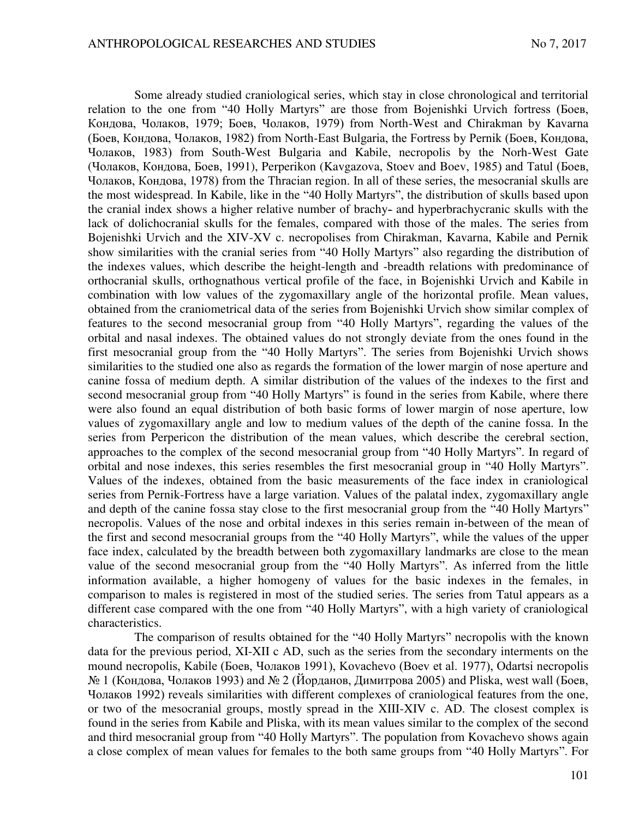Some already studied craniological series, which stay in close chronological and territorial relation to the one from "40 Holly Martyrs" are those from Bojenishki Urvich fortress (Боев, Кондова, Чолаков, 1979; Боев, Чолаков, 1979) from North-West and Chirakman by Kavarna (Боев, Кондова, Чолаков, 1982) from North-East Bulgaria, the Fortress by Pernik (Боев, Кондова, Чолаков, 1983) from South-West Bulgaria and Kabile, necropolis by the Norh-West Gate (Чолаков, Кондова, Боев, 1991), Perperikon (Kavgazova, Stoev and Boev, 1985) and Tatul (Боев, Чолаков, Кондова, 1978) from the Thracian region. In all of these series, the mesocranial skulls are the most widespread. In Kabile, like in the "40 Holly Martyrs", the distribution of skulls based upon the cranial index shows a higher relative number of brachy- and hyperbrachycranic skulls with the lack of dolichocranial skulls for the females, compared with those of the males. The series from Bojenishki Urvich and the XIV-XV c. necropolises from Chirakman, Kavarna, Kabile and Pernik show similarities with the cranial series from "40 Holly Martyrs" also regarding the distribution of the indexes values, which describe the height-length and -breadth relations with predominance of orthocranial skulls, orthognathous vertical profile of the face, in Bojenishki Urvich and Kabile in combination with low values of the zygomaxillary angle of the horizontal profile. Mean values, obtained from the craniometrical data of the series from Bojenishki Urvich show similar complex of features to the second mesocranial group from "40 Holly Martyrs", regarding the values of the orbital and nasal indexes. The obtained values do not strongly deviate from the ones found in the first mesocranial group from the "40 Holly Martyrs". The series from Bojenishki Urvich shows similarities to the studied one also as regards the formation of the lower margin of nose aperture and canine fossa of medium depth. A similar distribution of the values of the indexes to the first and second mesocranial group from "40 Holly Martyrs" is found in the series from Kabile, where there were also found an equal distribution of both basic forms of lower margin of nose aperture, low values of zygomaxillary angle and low to medium values of the depth of the canine fossa. In the series from Perpericon the distribution of the mean values, which describe the cerebral section, approaches to the complex of the second mesocranial group from "40 Holly Martyrs". In regard of orbital and nose indexes, this series resembles the first mesocranial group in "40 Holly Martyrs". Values of the indexes, obtained from the basic measurements of the face index in craniological series from Pernik-Fortress have a large variation. Values of the palatal index, zygomaxillary angle and depth of the canine fossa stay close to the first mesocranial group from the "40 Holly Martyrs" necropolis. Values of the nose and orbital indexes in this series remain in-between of the mean of the first and second mesocranial groups from the "40 Holly Martyrs", while the values of the upper face index, calculated by the breadth between both zygomaxillary landmarks are close to the mean value of the second mesocranial group from the "40 Holly Martyrs". As inferred from the little information available, a higher homogeny of values for the basic indexes in the females, in comparison to males is registered in most of the studied series. The series from Tatul appears as a different case compared with the one from "40 Holly Martyrs", with a high variety of craniological characteristics.

The comparison of results obtained for the "40 Holly Martyrs" necropolis with the known data for the previous period, XI-XII c AD, such as the series from the secondary interments on the mound necropolis, Kabile (Боев, Чолаков 1991), Kovachevo (Boev et al. 1977), Odartsi necropolis  $\mathcal{N}_2$  1 (Кондова, Чолаков 1993) and  $\mathcal{N}_2$  (Йорданов, Димитрова 2005) and Pliska, west wall (Боев, Чолаков 1992) reveals similarities with different complexes of craniological features from the one, or two of the mesocranial groups, mostly spread in the XIII-XIV c. AD. The closest complex is found in the series from Kabile and Pliska, with its mean values similar to the complex of the second and third mesocranial group from "40 Holly Martyrs". The population from Kovachevo shows again a close complex of mean values for females to the both same groups from "40 Holly Martyrs". For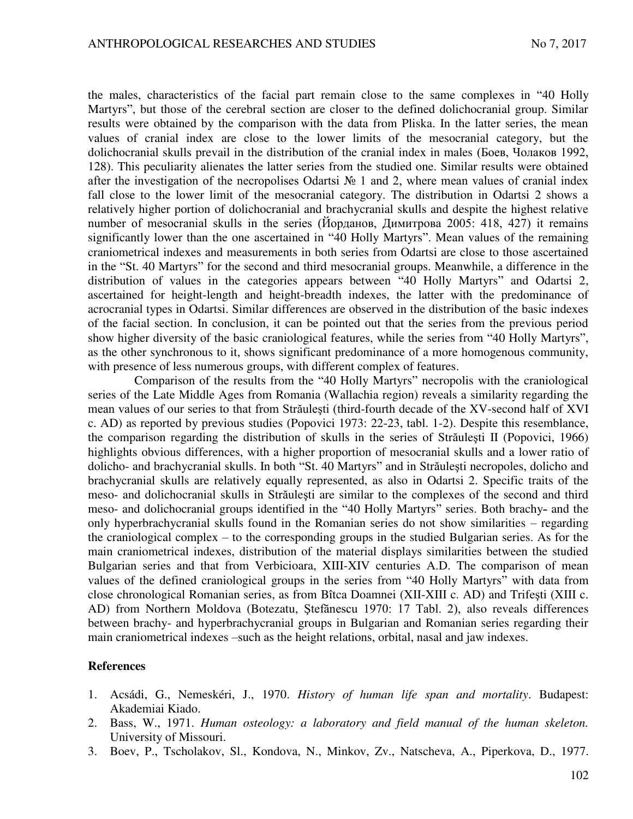the males, characteristics of the facial part remain close to the same complexes in "40 Holly Martyrs", but those of the cerebral section are closer to the defined dolichocranial group. Similar results were obtained by the comparison with the data from Pliska. In the latter series, the mean values of cranial index are close to the lower limits of the mesocranial category, but the dolichocranial skulls prevail in the distribution of the cranial index in males (Боев, Чолаков 1992, 128). This peculiarity alienates the latter series from the studied one. Similar results were obtained after the investigation of the necropolises Odartsi № 1 and 2, where mean values of cranial index fall close to the lower limit of the mesocranial category. The distribution in Odartsi 2 shows a relatively higher portion of dolichocranial and brachycranial skulls and despite the highest relative number of mesocranial skulls in the series (Йорданов, Димитрова 2005: 418, 427) it remains significantly lower than the one ascertained in "40 Holly Martyrs". Mean values of the remaining craniometrical indexes and measurements in both series from Odartsi are close to those ascertained in the "St. 40 Martyrs" for the second and third mesocranial groups. Meanwhile, a difference in the distribution of values in the categories appears between "40 Holly Martyrs" and Odartsi 2, ascertained for height-length and height-breadth indexes, the latter with the predominance of acrocranial types in Odartsi. Similar differences are observed in the distribution of the basic indexes of the facial section. In conclusion, it can be pointed out that the series from the previous period show higher diversity of the basic craniological features, while the series from "40 Holly Martyrs", as the other synchronous to it, shows significant predominance of a more homogenous community, with presence of less numerous groups, with different complex of features.

Comparison of the results from the "40 Holly Martyrs" necropolis with the craniological series of the Late Middle Ages from Romania (Wallachia region) reveals a similarity regarding the mean values of our series to that from Străuleşti (third-fourth decade of the XV-second half of XVI c. AD) as reported by previous studies (Popovici 1973: 22-23, tabl. 1-2). Despite this resemblance, the comparison regarding the distribution of skulls in the series of Străuleşti II (Popovici, 1966) highlights obvious differences, with a higher proportion of mesocranial skulls and a lower ratio of dolicho- and brachycranial skulls. In both "St. 40 Martyrs" and in Străuleşti necropoles, dolicho and brachycranial skulls are relatively equally represented, as also in Odartsi 2. Specific traits of the meso- and dolichocranial skulls in Străuleşti are similar to the complexes of the second and third meso- and dolichocranial groups identified in the "40 Holly Martyrs" series. Both brachy- and the only hyperbrachycranial skulls found in the Romanian series do not show similarities – regarding the craniological complex – to the corresponding groups in the studied Bulgarian series. As for the main craniometrical indexes, distribution of the material displays similarities between the studied Bulgarian series and that from Verbicioara, XIII-XIV centuries A.D. The comparison of mean values of the defined craniological groups in the series from "40 Holly Martyrs" with data from close chronological Romanian series, as from Bîtca Doamnei (XII-XIII c. AD) and Trifeşti (XIII c. AD) from Northern Moldova (Botezatu, Ştefănescu 1970: 17 Tabl. 2), also reveals differences between brachy- and hyperbrachycranial groups in Bulgarian and Romanian series regarding their main craniometrical indexes –such as the height relations, orbital, nasal and jaw indexes.

### **References**

- 1. Acsádi, G., Nemeskéri, J., 1970. *History of human life span and mortality*. Budapest: Akademiai Kiado.
- 2. Bass, W., 1971. *Human osteology: a laboratory and field manual of the human skeleton.* University of Missouri.
- 3. Boev, P., Tscholakov, Sl., Kondova, N., Minkov, Zv., Natscheva, A., Piperkova, D., 1977.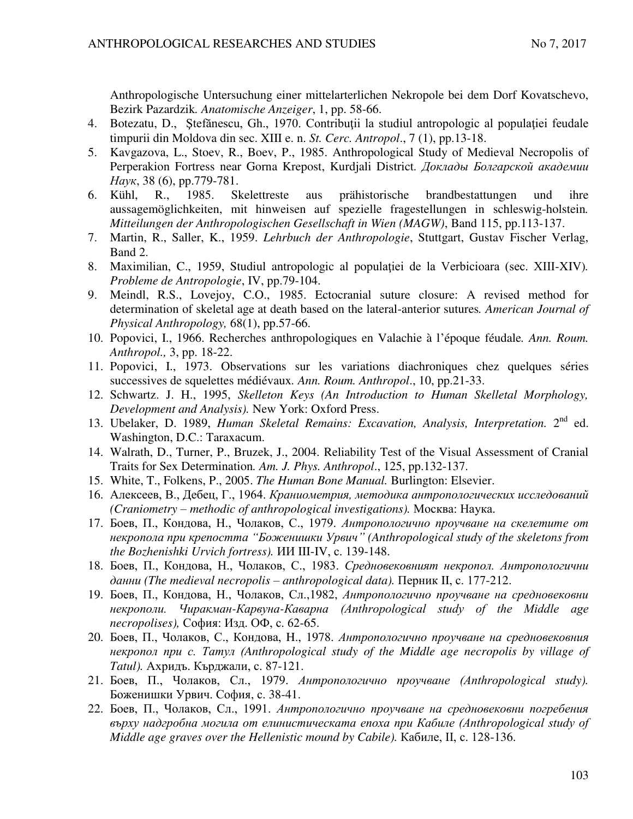Anthropologische Untersuchung einer mittelarterlichen Nekropole bei dem Dorf Kovatschevo, Bezirk Pazardzik*. Anatomische Anzeiger*, 1, pp. 58-66.

- 4. Botezatu, D., Ştefănescu, Gh., 1970. Contribuţii la studiul antropologic al populaţiei feudale timpurii din Moldova din sec. XIII e. n. *St. Cerc. Antropol*., 7 (1), pp.13-18.
- 5. Kavgazova, L., Stoev, R., Boev, P., 1985. Anthropological Study of Medieval Necropolis of Perperakion Fortress near Gorna Krepost, Kurdjali District. Доклады Болгарской академии *ɇɚɭɤ*, 38 (6), pp.779-781.
- 6. Kühl, R., 1985. Skelettreste aus prähistorische brandbestattungen und ihre aussagemöglichkeiten, mit hinweisen auf spezielle fragestellungen in schleswig-holstein*. Mitteilungen der Anthropologischen Gesellschaft in Wien (MAGW)*, Band 115, pp.113-137.
- 7. Martin, R., Saller, K., 1959. *Lehrbuch der Anthropologie*, Stuttgart, Gustav Fischer Verlag, Band 2.
- 8. Maximilian, C., 1959, Studiul antropologic al populaţiei de la Verbicioara (sec. XIII-XIV)*. Probleme de Antropologie*, IV, pp.79-104.
- 9. Meindl, R.S., Lovejoy, C.O., 1985. Ectocranial suture closure: A revised method for determination of skeletal age at death based on the lateral-anterior sutures*. American Journal of Physical Anthropology,* 68(1), pp.57-66.
- 10. Popovici, I., 1966. Recherches anthropologiques en Valachie à l'époque féudale*. Ann. Roum. Anthropol.,* 3, pp. 18-22.
- 11. Popovici, I., 1973. Observations sur les variations diachroniques chez quelques séries successives de squelettes médiévaux*. Ann. Roum. Anthropol*., 10, pp.21-33.
- 12. Schwartz. J. H., 1995, *Skelleton Keys (An Introduction to Human Skelletal Morphology, Development and Analysis).* New York: Oxford Press.
- 13. Ubelaker, D. 1989, *Human Skeletal Remains: Excavation, Analysis, Interpretation.* 2nd ed. Washington, D.C.: Taraxacum.
- 14. Walrath, D., Turner, P., Bruzek, J., 2004. Reliability Test of the Visual Assessment of Cranial Traits for Sex Determination*. Am. J. Phys. Anthropol*., 125, pp.132-137.
- 15. White, T., Folkens, P., 2005. *The Human Bone Manual.* Burlington: Elsevier.
- 16. Алексеев, В., Дебец, Г., 1964. *Краниометрия, методика антропологических исследований (Craniometry – methodic of anthropological investigations).* Mocκ Ba: Hayκa.
- 17. Боев, П., Кондова, Н., Чолаков, С., 1979. Антропологично проучване на скелетите от Hекропола при крепостта "Боженишки Урвич" (Anthropological study of the skeletons from *the Bozhenishki Urvich fortress). HH III-IV, c. 139-148.*
- 18. Боев, П., Кондова, Н., Чолаков, С., 1983. *Средновековният некропол. Антропологични*  $\partial$ анни (The medieval necropolis – anthropological data). Перник II, с. 177-212.
- 19. Боев, П., Кондова, Н., Чолаков, Сл.,1982, *Антропологично проучване на средновековни ɧɟɤɪɨɩɨɥɢ. Чɢɪɚɤɦɚɧ-Ʉɚɪɜɭɧɚ-Ʉɚɜɚɪɧɚ (Anthropological study of the Middle age necropolises*), София: Изд. ОФ, с. 62-65.
- 20. Боев, П., Чолаков, С., Кондова, Н., 1978. Антропологично проучване на средновековния  $\mu$ <sub>*Hekponon npu c. Tamyn (Anthropological study of the Middle age necropolis by village of*</sub> *Tatul*). Ахридъ. Кърджали, с. 87-121.
- 21. Боев, П., Чолаков, Сл., 1979. *Антропологично проучване (Anthropological study)*. Боженишки Урвич. София, с. 38-41.
- 22. Боев, П., Чолаков, Сл., 1991. *Антропологично проучване на средновековни погребения ɜɴɪɯɭ ɧɚɞɝɪɨɛɧɚ ɦɨɝɢɥɚ ɨɬ ɟɥɢɧɢɫɬɢɱɟɫɤɚɬɚ ɟɩɨɯɚ ɩɪɢ Ʉɚɛɢɥɟ (Anthropological study of Middle age graves over the Hellenistic mound by Cabile*). Кабиле, II, с. 128-136.